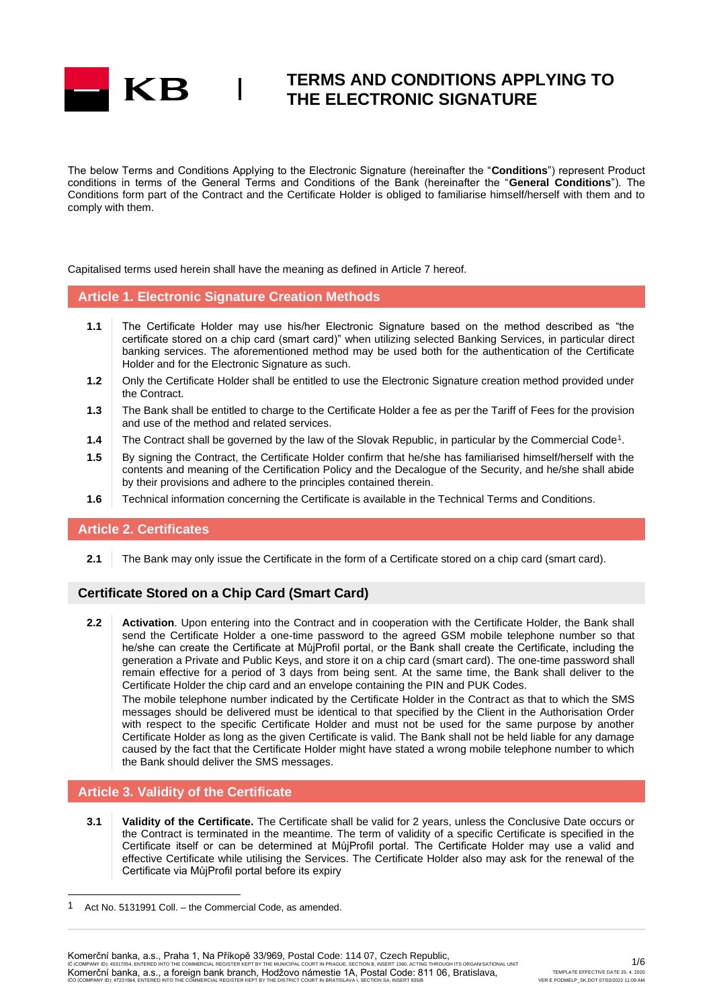

The below Terms and Conditions Applying to the Electronic Signature (hereinafter the "**Conditions**") represent Product conditions in terms of the General Terms and Conditions of the Bank (hereinafter the "**General Conditions**"). The Conditions form part of the Contract and the Certificate Holder is obliged to familiarise himself/herself with them and to comply with them.

Capitalised terms used herein shall have the meaning as defined in Article 7 hereof.

### **Article 1. Electronic Signature Creation Methods**

- **1.1** The Certificate Holder may use his/her Electronic Signature based on the method described as "the certificate stored on a chip card (smart card)" when utilizing selected Banking Services, in particular direct banking services. The aforementioned method may be used both for the authentication of the Certificate Holder and for the Electronic Signature as such.
- **1.2** Only the Certificate Holder shall be entitled to use the Electronic Signature creation method provided under the Contract.
- **1.3** The Bank shall be entitled to charge to the Certificate Holder a fee as per the Tariff of Fees for the provision and use of the method and related services.
- **1.4** The Contract shall be governed by the law of the Slovak Republic, in particular by the Commercial Code<sup>1</sup>.
- **1.5** By signing the Contract, the Certificate Holder confirm that he/she has familiarised himself/herself with the contents and meaning of the Certification Policy and the Decalogue of the Security, and he/she shall abide by their provisions and adhere to the principles contained therein.
- **1.6** Technical information concerning the Certificate is available in the Technical Terms and Conditions.

#### **Article 2. Certificates**

**2.1** The Bank may only issue the Certificate in the form of a Certificate stored on a chip card (smart card).

### **Certificate Stored on a Chip Card (Smart Card)**

**2.2 Activation**. Upon entering into the Contract and in cooperation with the Certificate Holder, the Bank shall send the Certificate Holder a one-time password to the agreed GSM mobile telephone number so that he/she can create the Certificate at MůjProfil portal, or the Bank shall create the Certificate, including the generation a Private and Public Keys, and store it on a chip card (smart card). The one-time password shall remain effective for a period of 3 days from being sent. At the same time, the Bank shall deliver to the Certificate Holder the chip card and an envelope containing the PIN and PUK Codes.

The mobile telephone number indicated by the Certificate Holder in the Contract as that to which the SMS messages should be delivered must be identical to that specified by the Client in the Authorisation Order with respect to the specific Certificate Holder and must not be used for the same purpose by another Certificate Holder as long as the given Certificate is valid. The Bank shall not be held liable for any damage caused by the fact that the Certificate Holder might have stated a wrong mobile telephone number to which the Bank should deliver the SMS messages.

### **Article 3. Validity of the Certificate**

**3.1 Validity of the Certificate.** The Certificate shall be valid for 2 years, unless the Conclusive Date occurs or the Contract is terminated in the meantime. The term of validity of a specific Certificate is specified in the Certificate itself or can be determined at MůjProfil portal. The Certificate Holder may use a valid and effective Certificate while utilising the Services. The Certificate Holder also may ask for the renewal of the Certificate via MůjProfil portal before its expiry

Komerční banka, a.s., Praha 1, Na Příkopě 33/969, Postal Code: 114 07, Czech Republic, IC (COMPANY ID): 45317054, ENTERED INTO THE COMMERCIAL REGISTER KEPT BY THE MUNICIPAL COURT IN PRAGUE, SECTION B, INSERT 1360, ACTING THROUGH ITS ORGANISATIONAL UNIT<br>Komerční banka, a.s., a foreign bank branch, Hodžovo nám IČO (COMPANY ID): 47231564, ENTERED INTO THE COMMERCIAL REGISTER KEPT BY THE DISTRICT COURT IN BRATISLAVA I, SECTION SA, INSERT 835/B

<sup>1</sup> Act No. 5131991 Coll. – the Commercial Code, as amended.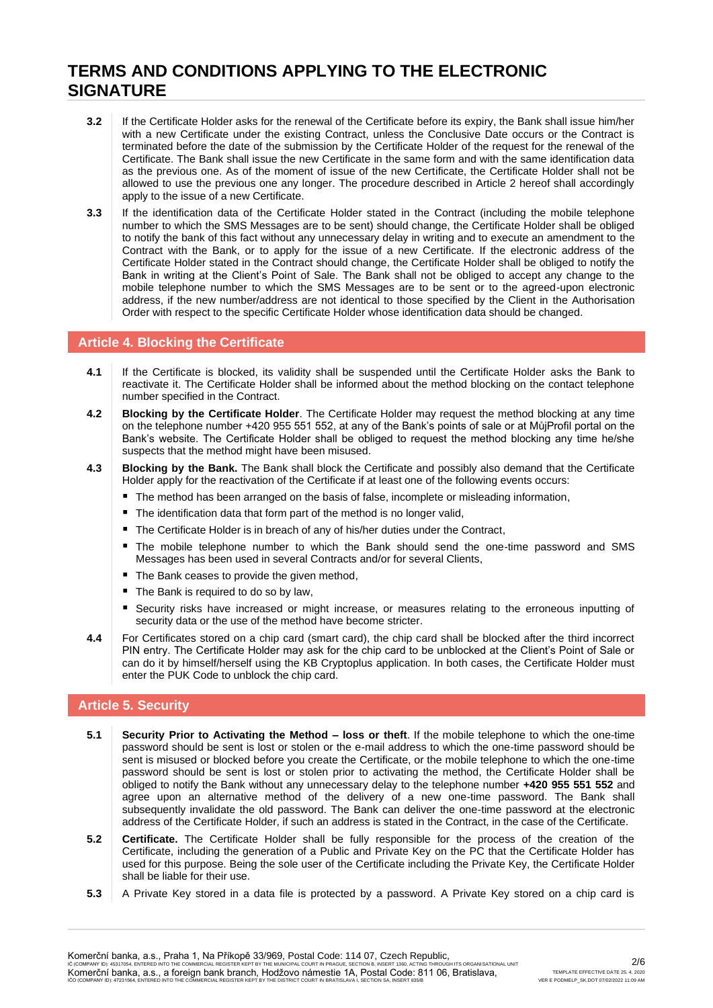- **3.2** If the Certificate Holder asks for the renewal of the Certificate before its expiry, the Bank shall issue him/her with a new Certificate under the existing Contract, unless the Conclusive Date occurs or the Contract is terminated before the date of the submission by the Certificate Holder of the request for the renewal of the Certificate. The Bank shall issue the new Certificate in the same form and with the same identification data as the previous one. As of the moment of issue of the new Certificate, the Certificate Holder shall not be allowed to use the previous one any longer. The procedure described in Article 2 hereof shall accordingly apply to the issue of a new Certificate.
- **3.3** If the identification data of the Certificate Holder stated in the Contract (including the mobile telephone number to which the SMS Messages are to be sent) should change, the Certificate Holder shall be obliged to notify the bank of this fact without any unnecessary delay in writing and to execute an amendment to the Contract with the Bank, or to apply for the issue of a new Certificate. If the electronic address of the Certificate Holder stated in the Contract should change, the Certificate Holder shall be obliged to notify the Bank in writing at the Client's Point of Sale. The Bank shall not be obliged to accept any change to the mobile telephone number to which the SMS Messages are to be sent or to the agreed-upon electronic address, if the new number/address are not identical to those specified by the Client in the Authorisation Order with respect to the specific Certificate Holder whose identification data should be changed.

### **Article 4. Blocking the Certificate**

- **4.1** If the Certificate is blocked, its validity shall be suspended until the Certificate Holder asks the Bank to reactivate it. The Certificate Holder shall be informed about the method blocking on the contact telephone number specified in the Contract.
- **4.2 Blocking by the Certificate Holder**. The Certificate Holder may request the method blocking at any time on the telephone number +420 955 551 552, at any of the Bank's points of sale or at MůjProfil portal on the Bank's website. The Certificate Holder shall be obliged to request the method blocking any time he/she suspects that the method might have been misused.
- **4.3 Blocking by the Bank.** The Bank shall block the Certificate and possibly also demand that the Certificate Holder apply for the reactivation of the Certificate if at least one of the following events occurs:
	- The method has been arranged on the basis of false, incomplete or misleading information,
	- The identification data that form part of the method is no longer valid,
	- The Certificate Holder is in breach of any of his/her duties under the Contract,
	- The mobile telephone number to which the Bank should send the one-time password and SMS Messages has been used in several Contracts and/or for several Clients,
	- The Bank ceases to provide the given method.
	- The Bank is required to do so by law,
	- Security risks have increased or might increase, or measures relating to the erroneous inputting of security data or the use of the method have become stricter.
- **4.4** For Certificates stored on a chip card (smart card), the chip card shall be blocked after the third incorrect PIN entry. The Certificate Holder may ask for the chip card to be unblocked at the Client's Point of Sale or can do it by himself/herself using the KB Cryptoplus application. In both cases, the Certificate Holder must enter the PUK Code to unblock the chip card.

### **Article 5. Security**

- **5.1 Security Prior to Activating the Method – loss or theft**. If the mobile telephone to which the one-time password should be sent is lost or stolen or the e-mail address to which the one-time password should be sent is misused or blocked before you create the Certificate, or the mobile telephone to which the one-time password should be sent is lost or stolen prior to activating the method, the Certificate Holder shall be obliged to notify the Bank without any unnecessary delay to the telephone number **+420 955 551 552** and agree upon an alternative method of the delivery of a new one-time password. The Bank shall subsequently invalidate the old password. The Bank can deliver the one-time password at the electronic address of the Certificate Holder, if such an address is stated in the Contract, in the case of the Certificate.
- **5.2 Certificate.** The Certificate Holder shall be fully responsible for the process of the creation of the Certificate, including the generation of a Public and Private Key on the PC that the Certificate Holder has used for this purpose. Being the sole user of the Certificate including the Private Key, the Certificate Holder shall be liable for their use.
- **5.3** A Private Key stored in a data file is protected by a password. A Private Key stored on a chip card is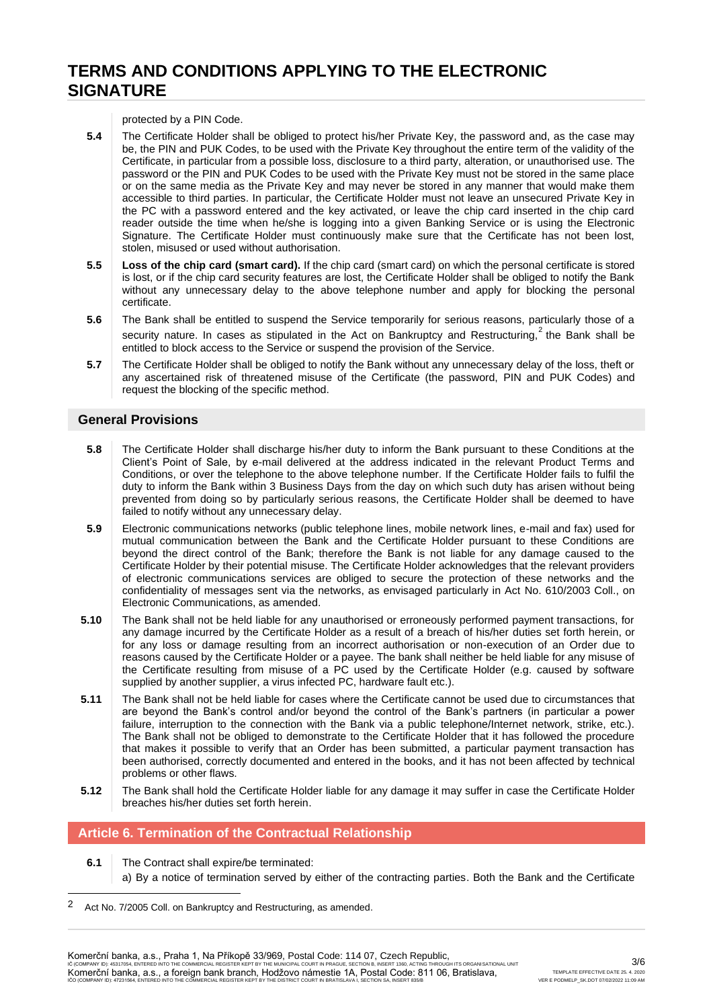protected by a PIN Code.

- **5.4** The Certificate Holder shall be obliged to protect his/her Private Key, the password and, as the case may be, the PIN and PUK Codes, to be used with the Private Key throughout the entire term of the validity of the Certificate, in particular from a possible loss, disclosure to a third party, alteration, or unauthorised use. The password or the PIN and PUK Codes to be used with the Private Key must not be stored in the same place or on the same media as the Private Key and may never be stored in any manner that would make them accessible to third parties. In particular, the Certificate Holder must not leave an unsecured Private Key in the PC with a password entered and the key activated, or leave the chip card inserted in the chip card reader outside the time when he/she is logging into a given Banking Service or is using the Electronic Signature. The Certificate Holder must continuously make sure that the Certificate has not been lost, stolen, misused or used without authorisation.
- **5.5 Loss of the chip card (smart card).** If the chip card (smart card) on which the personal certificate is stored is lost, or if the chip card security features are lost, the Certificate Holder shall be obliged to notify the Bank without any unnecessary delay to the above telephone number and apply for blocking the personal certificate.
- **5.6** The Bank shall be entitled to suspend the Service temporarily for serious reasons, particularly those of a security nature. In cases as stipulated in the Act on Bankruptcy and Restructuring,  $2$  the Bank shall be entitled to block access to the Service or suspend the provision of the Service.
- **5.7** The Certificate Holder shall be obliged to notify the Bank without any unnecessary delay of the loss, theft or any ascertained risk of threatened misuse of the Certificate (the password, PIN and PUK Codes) and request the blocking of the specific method.

#### **General Provisions**

- **5.8** The Certificate Holder shall discharge his/her duty to inform the Bank pursuant to these Conditions at the Client's Point of Sale, by e-mail delivered at the address indicated in the relevant Product Terms and Conditions, or over the telephone to the above telephone number. If the Certificate Holder fails to fulfil the duty to inform the Bank within 3 Business Days from the day on which such duty has arisen without being prevented from doing so by particularly serious reasons, the Certificate Holder shall be deemed to have failed to notify without any unnecessary delay.
- **5.9** Electronic communications networks (public telephone lines, mobile network lines, e-mail and fax) used for mutual communication between the Bank and the Certificate Holder pursuant to these Conditions are beyond the direct control of the Bank; therefore the Bank is not liable for any damage caused to the Certificate Holder by their potential misuse. The Certificate Holder acknowledges that the relevant providers of electronic communications services are obliged to secure the protection of these networks and the confidentiality of messages sent via the networks, as envisaged particularly in Act No. 610/2003 Coll., on Electronic Communications, as amended.
- **5.10** The Bank shall not be held liable for any unauthorised or erroneously performed payment transactions, for any damage incurred by the Certificate Holder as a result of a breach of his/her duties set forth herein, or for any loss or damage resulting from an incorrect authorisation or non-execution of an Order due to reasons caused by the Certificate Holder or a payee. The bank shall neither be held liable for any misuse of the Certificate resulting from misuse of a PC used by the Certificate Holder (e.g. caused by software supplied by another supplier, a virus infected PC, hardware fault etc.).
- **5.11** The Bank shall not be held liable for cases where the Certificate cannot be used due to circumstances that are beyond the Bank's control and/or beyond the control of the Bank's partners (in particular a power failure, interruption to the connection with the Bank via a public telephone/Internet network, strike, etc.). The Bank shall not be obliged to demonstrate to the Certificate Holder that it has followed the procedure that makes it possible to verify that an Order has been submitted, a particular payment transaction has been authorised, correctly documented and entered in the books, and it has not been affected by technical problems or other flaws.
- **5.12** The Bank shall hold the Certificate Holder liable for any damage it may suffer in case the Certificate Holder breaches his/her duties set forth herein.

### **Article 6. Termination of the Contractual Relationship**

**6.1** The Contract shall expire/be terminated: a) By a notice of termination served by either of the contracting parties. Both the Bank and the Certificate

<sup>2</sup> Act No. 7/2005 Coll. on Bankruptcy and Restructuring, as amended.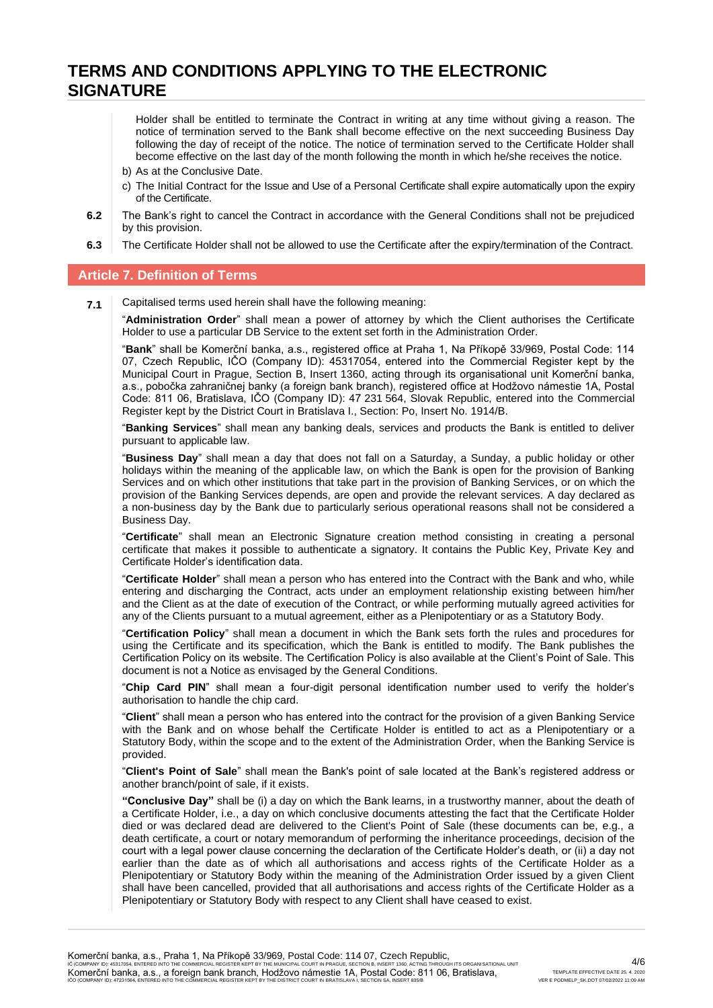Holder shall be entitled to terminate the Contract in writing at any time without giving a reason. The notice of termination served to the Bank shall become effective on the next succeeding Business Day following the day of receipt of the notice. The notice of termination served to the Certificate Holder shall become effective on the last day of the month following the month in which he/she receives the notice.

- b) As at the Conclusive Date.
- c) The Initial Contract for the Issue and Use of a Personal Certificate shall expire automatically upon the expiry of the Certificate.
- **6.2** The Bank's right to cancel the Contract in accordance with the General Conditions shall not be prejudiced by this provision.
- **6.3** The Certificate Holder shall not be allowed to use the Certificate after the expiry/termination of the Contract.

#### **Article 7. Definition of Terms**

**7.1** Capitalised terms used herein shall have the following meaning:

"**Administration Order**" shall mean a power of attorney by which the Client authorises the Certificate Holder to use a particular DB Service to the extent set forth in the Administration Order.

"**Bank**" shall be Komerční banka, a.s., registered office at Praha 1, Na Příkopě 33/969, Postal Code: 114 07, Czech Republic, IČO (Company ID): 45317054, entered into the Commercial Register kept by the Municipal Court in Prague, Section B, Insert 1360, acting through its organisational unit Komerční banka, a.s., pobočka zahraničnej banky (a foreign bank branch), registered office at Hodžovo námestie 1A, Postal Code: 811 06, Bratislava, IČO (Company ID): 47 231 564, Slovak Republic, entered into the Commercial Register kept by the District Court in Bratislava I., Section: Po, Insert No. 1914/B.

"**Banking Services**" shall mean any banking deals, services and products the Bank is entitled to deliver pursuant to applicable law.

"**Business Day**" shall mean a day that does not fall on a Saturday, a Sunday, a public holiday or other holidays within the meaning of the applicable law, on which the Bank is open for the provision of Banking Services and on which other institutions that take part in the provision of Banking Services, or on which the provision of the Banking Services depends, are open and provide the relevant services. A day declared as a non-business day by the Bank due to particularly serious operational reasons shall not be considered a Business Day.

"**Certificate**" shall mean an Electronic Signature creation method consisting in creating a personal certificate that makes it possible to authenticate a signatory. It contains the Public Key, Private Key and Certificate Holder's identification data.

"**Certificate Holder**" shall mean a person who has entered into the Contract with the Bank and who, while entering and discharging the Contract, acts under an employment relationship existing between him/her and the Client as at the date of execution of the Contract, or while performing mutually agreed activities for any of the Clients pursuant to a mutual agreement, either as a Plenipotentiary or as a Statutory Body.

"**Certification Policy**" shall mean a document in which the Bank sets forth the rules and procedures for using the Certificate and its specification, which the Bank is entitled to modify. The Bank publishes the Certification Policy on its website. The Certification Policy is also available at the Client's Point of Sale. This document is not a Notice as envisaged by the General Conditions.

"**Chip Card PIN**" shall mean a four-digit personal identification number used to verify the holder's authorisation to handle the chip card.

"**Client**" shall mean a person who has entered into the contract for the provision of a given Banking Service with the Bank and on whose behalf the Certificate Holder is entitled to act as a Plenipotentiary or a Statutory Body, within the scope and to the extent of the Administration Order, when the Banking Service is provided.

"**Client's Point of Sale**" shall mean the Bank's point of sale located at the Bank's registered address or another branch/point of sale, if it exists.

**"Conclusive Day"** shall be (i) a day on which the Bank learns, in a trustworthy manner, about the death of a Certificate Holder, i.e., a day on which conclusive documents attesting the fact that the Certificate Holder died or was declared dead are delivered to the Client's Point of Sale (these documents can be, e.g., a death certificate, a court or notary memorandum of performing the inheritance proceedings, decision of the court with a legal power clause concerning the declaration of the Certificate Holder's death, or (ii) a day not earlier than the date as of which all authorisations and access rights of the Certificate Holder as a Plenipotentiary or Statutory Body within the meaning of the Administration Order issued by a given Client shall have been cancelled, provided that all authorisations and access rights of the Certificate Holder as a Plenipotentiary or Statutory Body with respect to any Client shall have ceased to exist.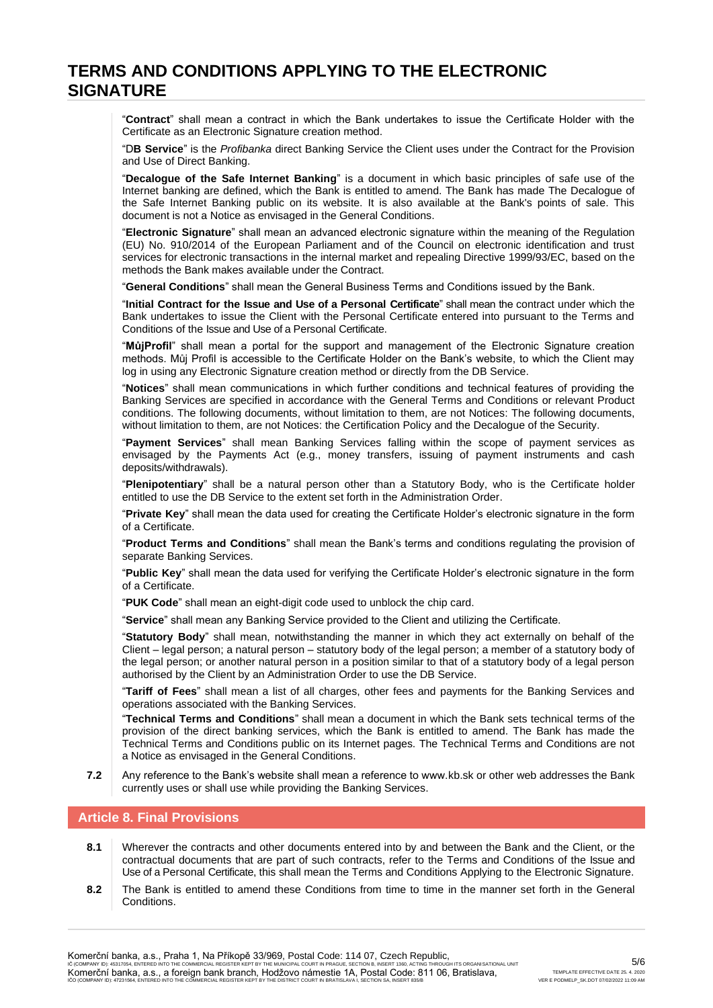"**Contract**" shall mean a contract in which the Bank undertakes to issue the Certificate Holder with the Certificate as an Electronic Signature creation method.

"D**B Service**" is the *Profibanka* direct Banking Service the Client uses under the Contract for the Provision and Use of Direct Banking.

"**Decalogue of the Safe Internet Banking**" is a document in which basic principles of safe use of the Internet banking are defined, which the Bank is entitled to amend. The Bank has made The Decalogue of the Safe Internet Banking public on its website. It is also available at the Bank's points of sale. This document is not a Notice as envisaged in the General Conditions.

"**Electronic Signature**" shall mean an advanced electronic signature within the meaning of the Regulation (EU) No. 910/2014 of the European Parliament and of the Council on electronic identification and trust services for electronic transactions in the internal market and repealing Directive 1999/93/EC, based on the methods the Bank makes available under the Contract.

"**General Conditions**" shall mean the General Business Terms and Conditions issued by the Bank.

"**Initial Contract for the Issue and Use of a Personal Certificate**" shall mean the contract under which the Bank undertakes to issue the Client with the Personal Certificate entered into pursuant to the Terms and Conditions of the Issue and Use of a Personal Certificate.

"**MůjProfil**" shall mean a portal for the support and management of the Electronic Signature creation methods. Můj Profil is accessible to the Certificate Holder on the Bank's website, to which the Client may log in using any Electronic Signature creation method or directly from the DB Service.

"**Notices**" shall mean communications in which further conditions and technical features of providing the Banking Services are specified in accordance with the General Terms and Conditions or relevant Product conditions. The following documents, without limitation to them, are not Notices: The following documents, without limitation to them, are not Notices: the Certification Policy and the Decalogue of the Security.

"**Payment Services**" shall mean Banking Services falling within the scope of payment services as envisaged by the Payments Act (e.g., money transfers, issuing of payment instruments and cash deposits/withdrawals).

"**Plenipotentiary**" shall be a natural person other than a Statutory Body, who is the Certificate holder entitled to use the DB Service to the extent set forth in the Administration Order.

"**Private Key**" shall mean the data used for creating the Certificate Holder's electronic signature in the form of a Certificate.

"**Product Terms and Conditions**" shall mean the Bank's terms and conditions regulating the provision of separate Banking Services.

"**Public Key**" shall mean the data used for verifying the Certificate Holder's electronic signature in the form of a Certificate.

"**PUK Code**" shall mean an eight-digit code used to unblock the chip card.

"**Service**" shall mean any Banking Service provided to the Client and utilizing the Certificate.

"**Statutory Body**" shall mean, notwithstanding the manner in which they act externally on behalf of the Client – legal person; a natural person – statutory body of the legal person; a member of a statutory body of the legal person; or another natural person in a position similar to that of a statutory body of a legal person authorised by the Client by an Administration Order to use the DB Service.

"**Tariff of Fees**" shall mean a list of all charges, other fees and payments for the Banking Services and operations associated with the Banking Services.

"**Technical Terms and Conditions**" shall mean a document in which the Bank sets technical terms of the provision of the direct banking services, which the Bank is entitled to amend. The Bank has made the Technical Terms and Conditions public on its Internet pages. The Technical Terms and Conditions are not a Notice as envisaged in the General Conditions.

**7.2** Any reference to the Bank's website shall mean a reference to www.kb.sk or other web addresses the Bank currently uses or shall use while providing the Banking Services.

#### **Article 8. Final Provisions**

- **8.1** Wherever the contracts and other documents entered into by and between the Bank and the Client, or the contractual documents that are part of such contracts, refer to the Terms and Conditions of the Issue and Use of a Personal Certificate, this shall mean the Terms and Conditions Applying to the Electronic Signature.
- **8.2** The Bank is entitled to amend these Conditions from time to time in the manner set forth in the General **Conditions**

Komerční banka, a.s., Praha 1, Na Příkopě 33/969, Postal Code: 114 07, Czech Republic, IC (COMPANY ID): 45317054, ENTERED INTO THE COMMERCIAL REGISTER KEPT BY THE MUNICIPAL COURT IN PRAGUE, SECTION B, INSERT 1360, ACTING THROUGH ITS ORGANISATIONAL UNIT<br>Komerční banka, a.s., a foreign bank branch, Hodžovo nám IČO (COMPANY ID): 47231564, ENTERED INTO THE COMMERCIAL REGISTER KEPT BY THE DISTRICT COURT IN BRATISLAVA I, SECTION SA, INSERT 835/B